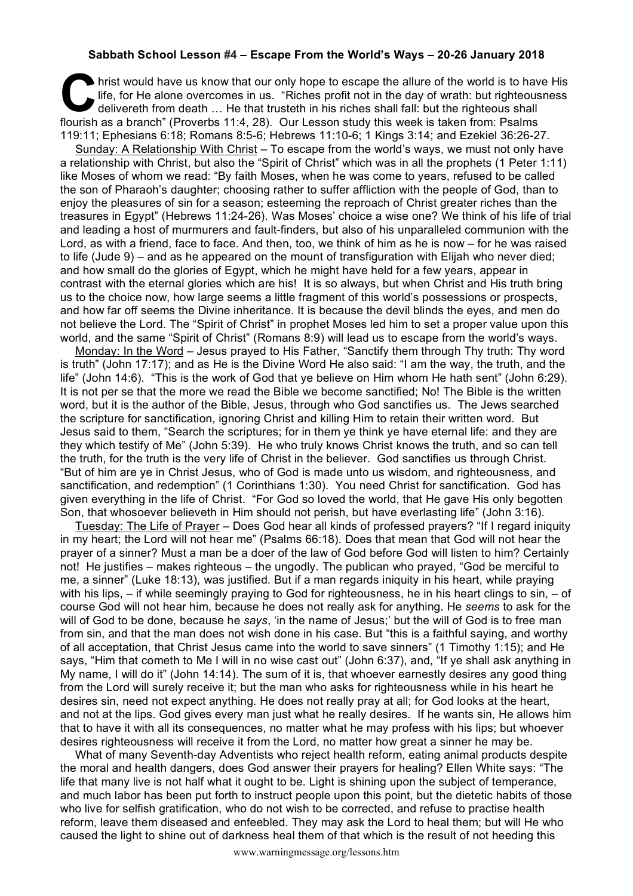## **Sabbath School Lesson #4 – Escape From the World's Ways – 20-26 January 2018**

hrist would have us know that our only hope to escape the allure of the world is to have His<br>
life, for He alone overcomes in us. "Riches profit not in the day of wrath: but righteousness<br>
delivereth from death ... He that life, for He alone overcomes in us. "Riches profit not in the day of wrath: but righteousness delivereth from death … He that trusteth in his riches shall fall: but the righteous shall flourish as a branch" (Proverbs 11:4, 28). Our Lesson study this week is taken from: Psalms 119:11; Ephesians 6:18; Romans 8:5-6; Hebrews 11:10-6; 1 Kings 3:14; and Ezekiel 36:26-27.

Sunday: A Relationship With Christ – To escape from the world's ways, we must not only have a relationship with Christ, but also the "Spirit of Christ" which was in all the prophets (1 Peter 1:11) like Moses of whom we read: "By faith Moses, when he was come to years, refused to be called the son of Pharaoh's daughter; choosing rather to suffer affliction with the people of God, than to enjoy the pleasures of sin for a season; esteeming the reproach of Christ greater riches than the treasures in Egypt" (Hebrews 11:24-26). Was Moses' choice a wise one? We think of his life of trial and leading a host of murmurers and fault-finders, but also of his unparalleled communion with the Lord, as with a friend, face to face. And then, too, we think of him as he is now – for he was raised to life (Jude 9) – and as he appeared on the mount of transfiguration with Elijah who never died; and how small do the glories of Egypt, which he might have held for a few years, appear in contrast with the eternal glories which are his! It is so always, but when Christ and His truth bring us to the choice now, how large seems a little fragment of this world's possessions or prospects, and how far off seems the Divine inheritance. It is because the devil blinds the eyes, and men do not believe the Lord. The "Spirit of Christ" in prophet Moses led him to set a proper value upon this world, and the same "Spirit of Christ" (Romans 8:9) will lead us to escape from the world's ways.

Monday: In the Word – Jesus prayed to His Father, "Sanctify them through Thy truth: Thy word is truth" (John 17:17); and as He is the Divine Word He also said: "I am the way, the truth, and the life" (John 14:6). "This is the work of God that ye believe on Him whom He hath sent" (John 6:29). It is not per se that the more we read the Bible we become sanctified; No! The Bible is the written word, but it is the author of the Bible, Jesus, through who God sanctifies us. The Jews searched the scripture for sanctification, ignoring Christ and killing Him to retain their written word. But Jesus said to them, "Search the scriptures; for in them ye think ye have eternal life: and they are they which testify of Me" (John 5:39). He who truly knows Christ knows the truth, and so can tell the truth, for the truth is the very life of Christ in the believer. God sanctifies us through Christ. "But of him are ye in Christ Jesus, who of God is made unto us wisdom, and righteousness, and sanctification, and redemption" (1 Corinthians 1:30). You need Christ for sanctification. God has given everything in the life of Christ. "For God so loved the world, that He gave His only begotten Son, that whosoever believeth in Him should not perish, but have everlasting life" (John 3:16).

Tuesday: The Life of Prayer – Does God hear all kinds of professed prayers? "If I regard iniquity in my heart; the Lord will not hear me" (Psalms 66:18). Does that mean that God will not hear the prayer of a sinner? Must a man be a doer of the law of God before God will listen to him? Certainly not! He justifies – makes righteous – the ungodly. The publican who prayed, "God be merciful to me, a sinner" (Luke 18:13), was justified. But if a man regards iniquity in his heart, while praying with his lips, – if while seemingly praying to God for righteousness, he in his heart clings to sin, – of course God will not hear him, because he does not really ask for anything. He *seems* to ask for the will of God to be done, because he *says*, 'in the name of Jesus;' but the will of God is to free man from sin, and that the man does not wish done in his case. But "this is a faithful saying, and worthy of all acceptation, that Christ Jesus came into the world to save sinners" (1 Timothy 1:15); and He says, "Him that cometh to Me I will in no wise cast out" (John 6:37), and, "If ye shall ask anything in My name, I will do it" (John 14:14). The sum of it is, that whoever earnestly desires any good thing from the Lord will surely receive it; but the man who asks for righteousness while in his heart he desires sin, need not expect anything. He does not really pray at all; for God looks at the heart, and not at the lips. God gives every man just what he really desires. If he wants sin, He allows him that to have it with all its consequences, no matter what he may profess with his lips; but whoever desires righteousness will receive it from the Lord, no matter how great a sinner he may be.

What of many Seventh-day Adventists who reject health reform, eating animal products despite the moral and health dangers, does God answer their prayers for healing? Ellen White says: "The life that many live is not half what it ought to be. Light is shining upon the subject of temperance, and much labor has been put forth to instruct people upon this point, but the dietetic habits of those who live for selfish gratification, who do not wish to be corrected, and refuse to practise health reform, leave them diseased and enfeebled. They may ask the Lord to heal them; but will He who caused the light to shine out of darkness heal them of that which is the result of not heeding this